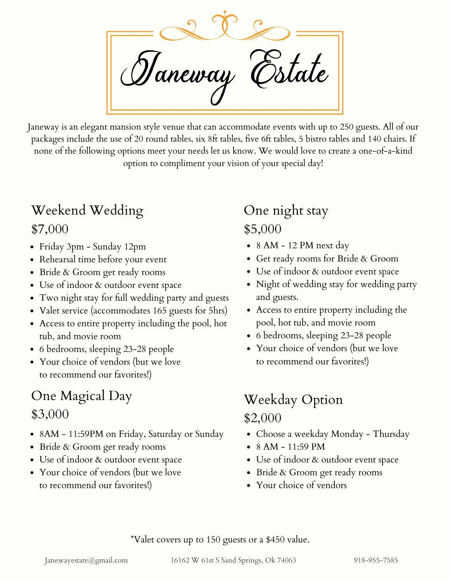Taneway

Janeway is an elegant mansion style venue that can accommodate events with up to 250 guests. All of our packages include the use of 20 round tables, six 8ft tables, five 6ft tables, 5 bistro tables and 140 chairs. If none of the following options meet your needs let us know. We would love to create a one-of-a-kind option to compliment your vision of your special day!

#### Weekend Wedding

\$7,000

- Friday 3pm Sunday 12pm
- Rehearsal time before your event
- Bride & Groom get ready rooms
- Use of indoor & outdoor event space
- Two night stay for full wedding party and guests
- Valet service (accommodates 165 guests for 5hrs)
- Access to entire property including the pool, hot tub, and movie room
- 6 bedrooms, sleeping 23-28 people
- Your choice of vendors (but we love to recommend our favorites!)

#### One Magical Day \$3,000

- 8AM 11:59PM on Friday, Saturday or Sunday
- Bride & Groom get ready rooms
- Use of indoor & outdoor event space
- Your choice of vendors (but we love to recommend our favorites!)

# One night stay

#### \$5,000

- 8 AM 12 PM next day
- Get ready rooms for Bride & Groom
- Use of indoor & outdoor event space
- Night of wedding stay for wedding party and guests.
- Access to entire property including the pool, hot tub, and movie room
- 6 bedrooms, sleeping 23-28 people
- Your choice of vendors (but we love to recommend our favorites!)

## Weekday Option \$2,000

- Choose a weekday Monday Thursday
- $\bullet$  8 AM 11:59 PM
- Use of indoor & outdoor event space
- Bride & Groom get ready rooms
- Your choice of vendors

\*Valet covers up to 150 guests or a \$450 value.